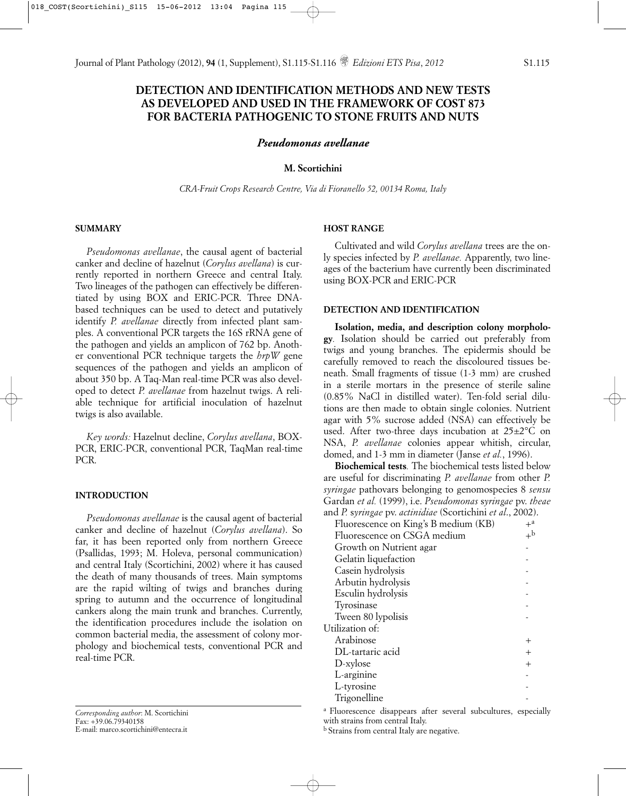Journal of Plant Pathology (2012), **94** (1, Supplement), S1.115-S1.116 *Edizioni ETS Pisa*, *2012* S1.115

# **DETECTION AND IDENTIFICATION METHODS AND NEW TESTS AS DEVELOPED AND USED IN THE FRAMEWORK OF COST 873 FOR BACTERIA PATHOGENIC TO STONE FRUITS AND NUTS**

*Pseudomonas avellanae*

## **M. Scortichini**

*CRA-Fruit Crops Research Centre, Via di Fioranello 52, 00134 Roma, Italy*

## **SUMMARY**

*Pseudomonas avellanae*, the causal agent of bacterial canker and decline of hazelnut (*Corylus avellana*) is currently reported in northern Greece and central Italy. Two lineages of the pathogen can effectively be differentiated by using BOX and ERIC-PCR. Three DNAbased techniques can be used to detect and putatively identify *P. avellanae* directly from infected plant samples. A conventional PCR targets the 16S rRNA gene of the pathogen and yields an amplicon of 762 bp. Another conventional PCR technique targets the *hrpW* gene sequences of the pathogen and yields an amplicon of about 350 bp. A Taq-Man real-time PCR was also developed to detect *P. avellanae* from hazelnut twigs. A reliable technique for artificial inoculation of hazelnut twigs is also available.

*Key words:* Hazelnut decline, *Corylus avellana*, BOX-PCR, ERIC-PCR, conventional PCR, TaqMan real-time PCR.

#### **INTRODUCTION**

*Pseudomonas avellanae* is the causal agent of bacterial canker and decline of hazelnut (*Corylus avellana*). So far, it has been reported only from northern Greece (Psallidas, 1993; M. Holeva, personal communication) and central Italy (Scortichini, 2002) where it has caused the death of many thousands of trees. Main symptoms are the rapid wilting of twigs and branches during spring to autumn and the occurrence of longitudinal cankers along the main trunk and branches. Currently, the identification procedures include the isolation on common bacterial media, the assessment of colony morphology and biochemical tests, conventional PCR and real-time PCR.

*Corresponding author*: M. Scortichini Fax: +39.06.79340158 E-mail: marco.scortichini@entecra.it

### **HOST RANGE**

Cultivated and wild *Corylus avellana* trees are the only species infected by *P. avellanae.* Apparently, two lineages of the bacterium have currently been discriminated using BOX-PCR and ERIC-PCR

#### **DETECTION AND IDENTIFICATION**

**Isolation, media, and description colony morphology***.* Isolation should be carried out preferably from twigs and young branches. The epidermis should be carefully removed to reach the discoloured tissues beneath. Small fragments of tissue (1-3 mm) are crushed in a sterile mortars in the presence of sterile saline (0.85% NaCl in distilled water). Ten-fold serial dilutions are then made to obtain single colonies. Nutrient agar with 5% sucrose added (NSA) can effectively be used. After two-three days incubation at  $25\pm2\degree C$  on NSA, *P. avellanae* colonies appear whitish, circular, domed, and 1-3 mm in diameter (Janse *et al.*, 1996).

**Biochemical tests***.* The biochemical tests listed below are useful for discriminating *P. avellanae* from other *P. syringae* pathovars belonging to genomospecies 8 *sensu* Gardan *et al.* (1999), i.e. *Pseudomonas* s*yringae* pv. *theae* and *P.* s*yringae* pv. *actinidiae* (Scortichini *et al*., 2002).

| $+^a$       |
|-------------|
| $+^{\rm b}$ |
|             |
|             |
|             |
|             |
|             |
|             |
|             |
|             |
|             |
| $^{+}$      |
| $+$         |
|             |
|             |
|             |
|             |

a Fluorescence disappears after several subcultures, especially with strains from central Italy.

b Strains from central Italy are negative.